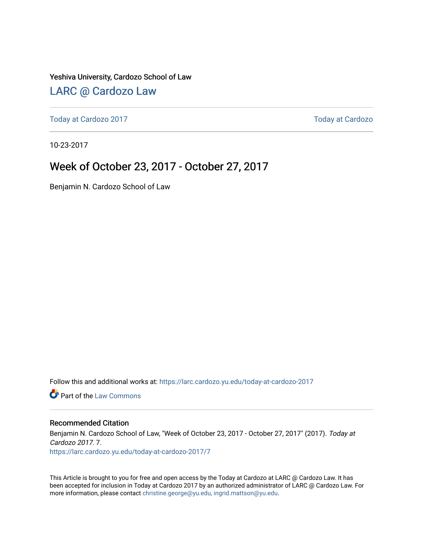Yeshiva University, Cardozo School of Law

### [LARC @ Cardozo Law](https://larc.cardozo.yu.edu/)

[Today at Cardozo 2017](https://larc.cardozo.yu.edu/today-at-cardozo-2017) **Today at Cardozo** 2017

10-23-2017

### Week of October 23, 2017 - October 27, 2017

Benjamin N. Cardozo School of Law

Follow this and additional works at: [https://larc.cardozo.yu.edu/today-at-cardozo-2017](https://larc.cardozo.yu.edu/today-at-cardozo-2017?utm_source=larc.cardozo.yu.edu%2Ftoday-at-cardozo-2017%2F7&utm_medium=PDF&utm_campaign=PDFCoverPages)

**C** Part of the [Law Commons](http://network.bepress.com/hgg/discipline/578?utm_source=larc.cardozo.yu.edu%2Ftoday-at-cardozo-2017%2F7&utm_medium=PDF&utm_campaign=PDFCoverPages)

#### Recommended Citation

Benjamin N. Cardozo School of Law, "Week of October 23, 2017 - October 27, 2017" (2017). Today at Cardozo 2017. 7. [https://larc.cardozo.yu.edu/today-at-cardozo-2017/7](https://larc.cardozo.yu.edu/today-at-cardozo-2017/7?utm_source=larc.cardozo.yu.edu%2Ftoday-at-cardozo-2017%2F7&utm_medium=PDF&utm_campaign=PDFCoverPages) 

This Article is brought to you for free and open access by the Today at Cardozo at LARC @ Cardozo Law. It has been accepted for inclusion in Today at Cardozo 2017 by an authorized administrator of LARC @ Cardozo Law. For more information, please contact [christine.george@yu.edu, ingrid.mattson@yu.edu](mailto:christine.george@yu.edu,%20ingrid.mattson@yu.edu).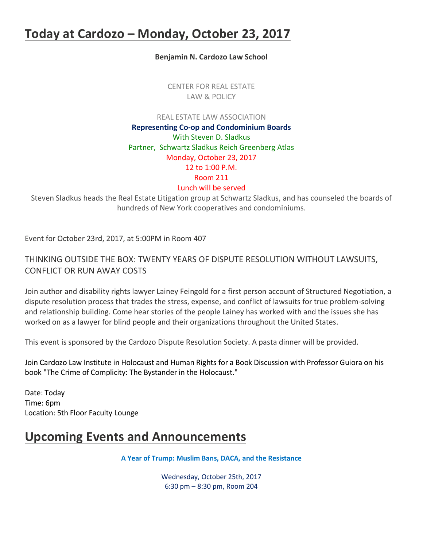## **Today at Cardozo – Monday, October 23, 2017**

**Benjamin N. Cardozo Law School**

CENTER FOR REAL ESTATE LAW & POLICY

REAL ESTATE LAW ASSOCIATION

**Representing Co-op and Condominium Boards** With Steven D. Sladkus Partner, Schwartz Sladkus Reich Greenberg Atlas Monday, October 23, 2017 12 to 1:00 P.M. Room 211 Lunch will be served

Steven Sladkus heads the Real Estate Litigation group at Schwartz Sladkus, and has counseled the boards of hundreds of New York cooperatives and condominiums.

Event for October 23rd, 2017, at 5:00PM in Room 407

THINKING OUTSIDE THE BOX: TWENTY YEARS OF DISPUTE RESOLUTION WITHOUT LAWSUITS, CONFLICT OR RUN AWAY COSTS

Join author and disability rights lawyer Lainey Feingold for a first person account of Structured Negotiation, a dispute resolution process that trades the stress, expense, and conflict of lawsuits for true problem-solving and relationship building. Come hear stories of the people Lainey has worked with and the issues she has worked on as a lawyer for blind people and their organizations throughout the United States.

This event is sponsored by the Cardozo Dispute Resolution Society. A pasta dinner will be provided.

Join Cardozo Law Institute in Holocaust and Human Rights for a Book Discussion with Professor Guiora on his book "The Crime of Complicity: The Bystander in the Holocaust."

Date: Today Time: 6pm Location: 5th Floor Faculty Lounge

### **Upcoming Events and Announcements**

**A Year of Trump: Muslim Bans, DACA, and the Resistance**

Wednesday, October 25th, 2017 6:30 pm – 8:30 pm, Room 204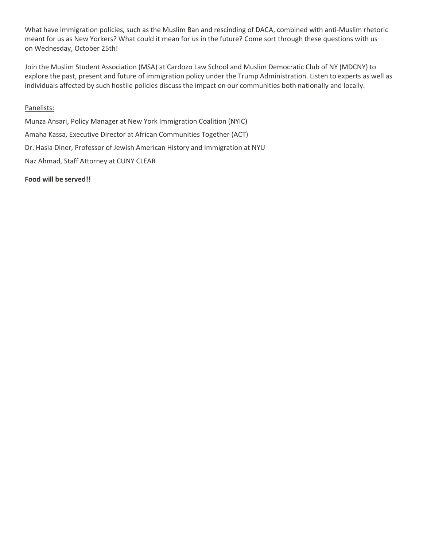What have immigration policies, such as the Muslim Ban and rescinding of DACA, combined with anti-Muslim rhetoric meant for us as New Yorkers? What could it mean for us in the future? Come sort through these questions with us on Wednesday, October 25th!

Join the Muslim Student Association (MSA) at Cardozo Law School and Muslim Democratic Club of NY (MDCNY) to explore the past, present and future of immigration policy under the Trump Administration. Listen to experts as well as individuals affected by such hostile policies discuss the impact on our communities both nationally and locally.

#### Panelists:

Munza Ansari, Policy Manager at New York Immigration Coalition (NYIC) Amaha Kassa, Executive Director at African Communities Together (ACT) Dr. Hasia Diner, Professor of Jewish American History and Immigration at NYU Naz Ahmad, Staff Attorney at CUNY CLEAR

#### **Food will be served!!**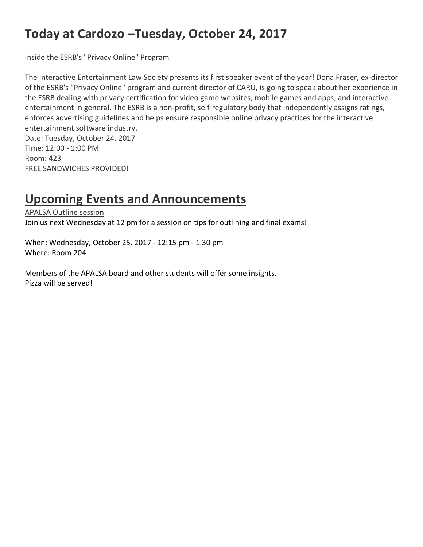# **Today at Cardozo –Tuesday, October 24, 2017**

Inside the ESRB's "Privacy Online" Program

The Interactive Entertainment Law Society presents its first speaker event of the year! Dona Fraser, ex-director of the ESRB's "Privacy Online" program and current director of CARU, is going to speak about her experience in the ESRB dealing with privacy certification for video game websites, mobile games and apps, and interactive entertainment in general. The ESRB is a non-profit, self-regulatory body that independently assigns ratings, enforces advertising guidelines and helps ensure responsible online privacy practices for the interactive entertainment software industry.

Date: Tuesday, October 24, 2017 Time: 12:00 - 1:00 PM Room: 423 FREE SANDWICHES PROVIDED!

### **Upcoming Events and Announcements**

APALSA Outline session Join us next Wednesday at 12 pm for a session on tips for outlining and final exams!

When: Wednesday, October 25, 2017 - 12:15 pm - 1:30 pm Where: Room 204

Members of the APALSA board and other students will offer some insights. Pizza will be served!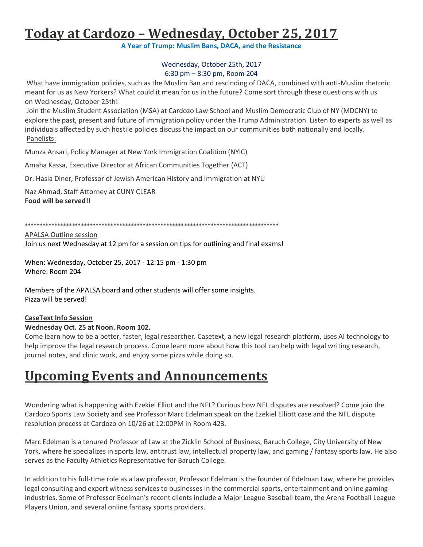# **Today at Cardozo – Wednesday, October 25, 2017**

**A Year of Trump: Muslim Bans, DACA, and the Resistance**

#### Wednesday, October 25th, 2017 6:30 pm – 8:30 pm, Room 204

What have immigration policies, such as the Muslim Ban and rescinding of DACA, combined with anti-Muslim rhetoric meant for us as New Yorkers? What could it mean for us in the future? Come sort through these questions with us on Wednesday, October 25th!

Join the Muslim Student Association (MSA) at Cardozo Law School and Muslim Democratic Club of NY (MDCNY) to explore the past, present and future of immigration policy under the Trump Administration. Listen to experts as well as individuals affected by such hostile policies discuss the impact on our communities both nationally and locally. Panelists:

Munza Ansari, Policy Manager at New York Immigration Coalition (NYIC)

Amaha Kassa, Executive Director at African Communities Together (ACT)

Dr. Hasia Diner, Professor of Jewish American History and Immigration at NYU

Naz Ahmad, Staff Attorney at CUNY CLEAR **Food will be served!!**

\*\*\*\*\*\*\*\*\*\*\*\*\*\*\*\*\*\*\*\*\*\*\*\*\*\*\*\*\*\*\*\*\*\*\*\*\*\*\*\*\*\*\*\*\*\*\*\*\*\*\*\*\*\*\*\*\*\*\*\*\*\*\*\*\*\*\*\*\*\*\*\*\*\*\*\*\*\*\*\*\*\*\*\*\*\*

APALSA Outline session Join us next Wednesday at 12 pm for a session on tips for outlining and final exams!

When: Wednesday, October 25, 2017 - 12:15 pm - 1:30 pm Where: Room 204

Members of the APALSA board and other students will offer some insights. Pizza will be served!

#### **CaseText Info Session Wednesday Oct. 25 at Noon. Room 102.**

Come learn how to be a better, faster, legal researcher. Casetext, a new legal research platform, uses AI technology to help improve the legal research process. Come learn more about how this tool can help with legal writing research, journal notes, and clinic work, and enjoy some pizza while doing so.

# **Upcoming Events and Announcements**

Wondering what is happening with Ezekiel Elliot and the NFL? Curious how NFL disputes are resolved? Come join the Cardozo Sports Law Society and see Professor Marc Edelman speak on the Ezekiel Elliott case and the NFL dispute resolution process at Cardozo on 10/26 at 12:00PM in Room 423.

Marc Edelman is a tenured Professor of Law at the Zicklin School of Business, Baruch College, City University of New York, where he specializes in sports law, antitrust law, intellectual property law, and gaming / fantasy sports law. He also serves as the Faculty Athletics Representative for Baruch College.

In addition to his full-time role as a law professor, Professor Edelman is the founder of Edelman Law, where he provides legal consulting and expert witness services to businesses in the commercial sports, entertainment and online gaming industries. Some of Professor Edelman's recent clients include a Major League Baseball team, the Arena Football League Players Union, and several online fantasy sports providers.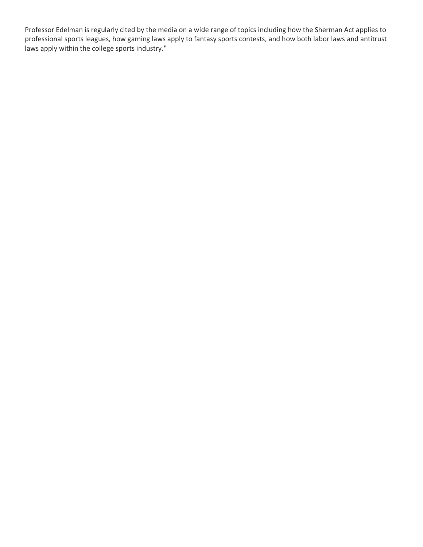Professor Edelman is regularly cited by the media on a wide range of topics including how the Sherman Act applies to professional sports leagues, how gaming laws apply to fantasy sports contests, and how both labor laws and antitrust laws apply within the college sports industry."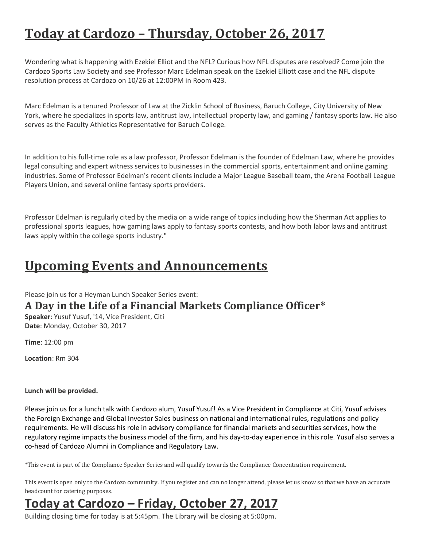# **Today at Cardozo – Thursday, October 26, 2017**

Wondering what is happening with Ezekiel Elliot and the NFL? Curious how NFL disputes are resolved? Come join the Cardozo Sports Law Society and see Professor Marc Edelman speak on the Ezekiel Elliott case and the NFL dispute resolution process at Cardozo on 10/26 at 12:00PM in Room 423.

Marc Edelman is a tenured Professor of Law at the Zicklin School of Business, Baruch College, City University of New York, where he specializes in sports law, antitrust law, intellectual property law, and gaming / fantasy sports law. He also serves as the Faculty Athletics Representative for Baruch College.

In addition to his full-time role as a law professor, Professor Edelman is the founder of Edelman Law, where he provides legal consulting and expert witness services to businesses in the commercial sports, entertainment and online gaming industries. Some of Professor Edelman's recent clients include a Major League Baseball team, the Arena Football League Players Union, and several online fantasy sports providers.

Professor Edelman is regularly cited by the media on a wide range of topics including how the Sherman Act applies to professional sports leagues, how gaming laws apply to fantasy sports contests, and how both labor laws and antitrust laws apply within the college sports industry."

## **Upcoming Events and Announcements**

Please join us for a Heyman Lunch Speaker Series event:

### **A Day in the Life of a Financial Markets Compliance Officer\***

**Speaker**: Yusuf Yusuf, '14, Vice President, Citi **Date**: Monday, October 30, 2017

**Time**: 12:00 pm

**Location**: Rm 304

#### **Lunch will be provided.**

Please join us for a lunch talk with Cardozo alum, Yusuf Yusuf! As a Vice President in Compliance at Citi, Yusuf advises the Foreign Exchange and Global Investor Sales business on national and international rules, regulations and policy requirements. He will discuss his role in advisory compliance for financial markets and securities services, how the regulatory regime impacts the business model of the firm, and his day-to-day experience in this role. Yusuf also serves a co-head of Cardozo Alumni in Compliance and Regulatory Law.

\*This event is part of the Compliance Speaker Series and will qualify towards the Compliance Concentration requirement.

This event is open only to the Cardozo community. If you register and can no longer attend, please let us know so that we have an accurate headcount for catering purposes.

# **Today at Cardozo – Friday, October 27, 2017**

Building closing time for today is at 5:45pm. The Library will be closing at 5:00pm.